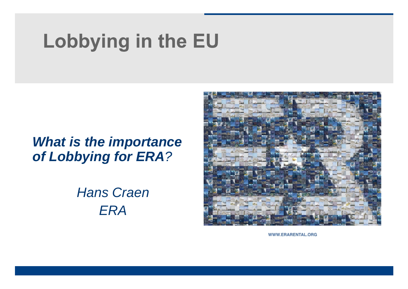# Lobbying in the EU

### *What is the importance of Lobbying for ERA?*

*Hans Craen ERA*



WWW.ERARENTAL.ORG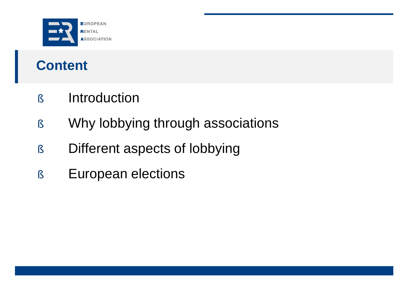

## **Content**

- § Introduction
- § Why lobbying through associations
- § Different aspects of lobbying
- § European elections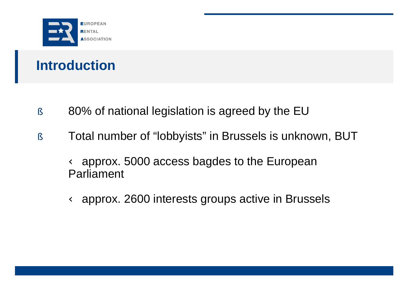

## **Introduction**

- § 80% of national legislation is agreed by the EU
- § Total number of "lobbyists" in Brussels is unknown, BUT

Ü approx. 5000 access bagdes to the European Parliament

Ü approx. 2600 interests groups active in Brussels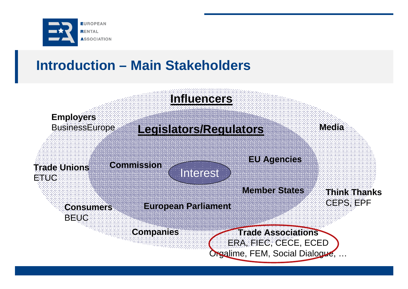

### **Introduction – Main Stakeholders**

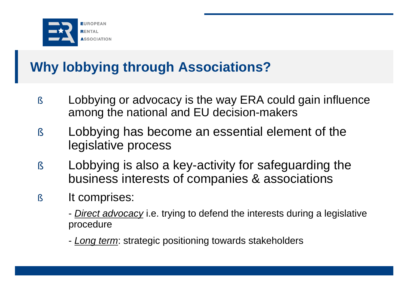

## **Why lobbying through Associations?**

- § Lobbying or advocacy is the way ERA could gain influence among the national and EU decision-makers
- § Lobbying has become an essential element of the legislative process
- § Lobbying is also a key-activity for safeguarding the business interests of companies & associations
- § It comprises:
	- *Direct advocacy* i.e. trying to defend the interests during a legislative procedure
	- *Long term*: strategic positioning towards stakeholders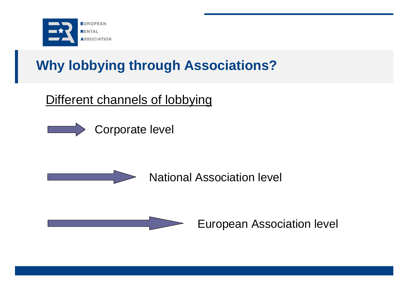

## **Why lobbying through Associations?**

### Different channels of lobbying

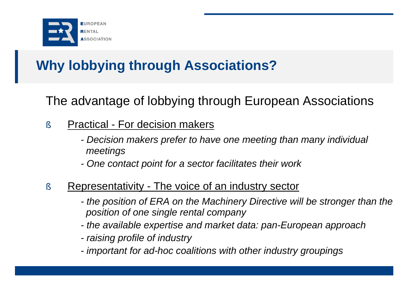

## **Why lobbying through Associations?**

The advantage of lobbying through European Associations

### § Practical - For decision makers

- *- Decision makers prefer to have one meeting than many individual meetings*
- *- One contact point for a sector facilitates their work*

### § Representativity - The voice of an industry sector

- *- the position of ERA on the Machinery Directive will be stronger than the position of one single rental company*
- *- the available expertise and market data: pan-European approach*
- *- raising profile of industry*
- *- important for ad-hoc coalitions with other industry groupings*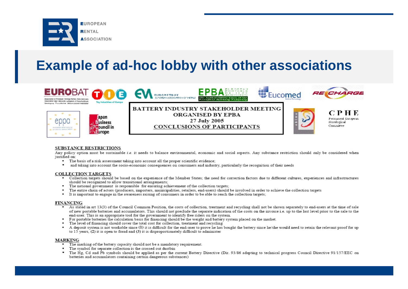

### **Example of ad-hoc lobby with other associations**



#### **SUBSTANCE RESTRICTIONS**

Any policy option must be sustainable i.e. it needs to balance environmental, economic and social aspects. Any substance restriction should only be considered when justified on:

- The basis of a risk assessment taking into account all the proper scientific evidence;
- and taking into account the socio-economic consequences on consumers and industry, particularly the recognition of their needs

#### **COLLECTION TARGETS**

- Collection targets should be based on the experience of the Member States; the need for correction factors due to different cultures, experiences and infrastructures should be recognized to allow transitional arrangements;
- The national government is responsible for ensuring achievement of the collection targets;
- The entire chain of actors (producers, importers, municipalities, retailers, end-users) should be involved in order to achieve the collection targets
- $\blacksquare$ It is important to engage in the awareness raising of consumers in order to be able to reach the collection targets;

#### **FINANCING**

- As stated in art 13(3) of the Council Common Position, the costs of collection, treatment and recycling shall not be shown separately to end-users at the time of sale of new portable batteries and accumulators. This should not preclude the separate indication of the costs on the invoice i.e. up to the last level prior to the sale to the end-user. This is an appropriate tool for the government to identify free riders on the system.
- $\blacksquare$ For portable batteries the calculation basis for financing should be the weight and battery system placed on the market.
- . The level of financing should cover the total cost for collection, treatment and recycling
- A deposit system is not workable since (1) it is difficult for the end-user to prove he has bought the battery since he/she would need to retain the relevant proof for up  $\blacksquare$ to 15 years, (2) it is open to fraud and (3) it is disproportionately difficult to administer

#### **MARKING**

- . The marking of the battery capacity should not be a mandatory requirement.
- " The symbol for separate collection is the crossed out dustbin
- " The Hg, Cd and Pb symbols should be applied as per the current Battery Directive (Dir. 93/86 adapting to technical progress Council Directive 91/157/EEC on batteries and accumulators containing certain dangerous substances)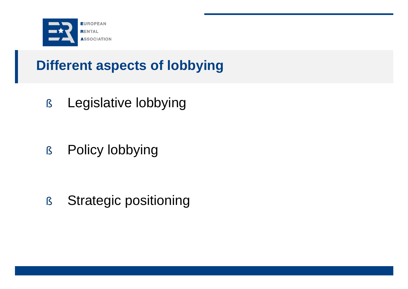

§ Legislative lobbying

§ Policy lobbying

§ Strategic positioning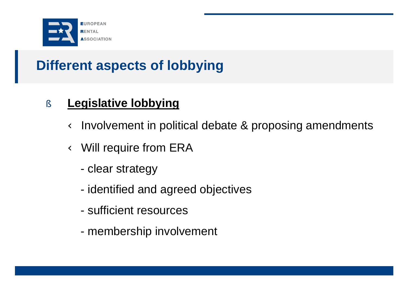

### § **Legislative lobbying**

Ü Involvement in political debate & proposing amendments

Ü Will require from ERA

- clear strategy
- identified and agreed objectives
- sufficient resources
- membership involvement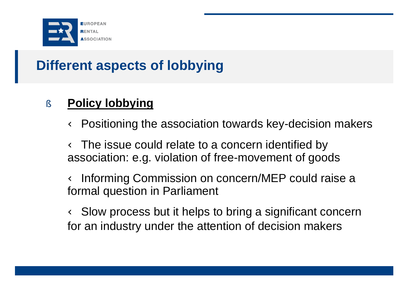

### § **Policy lobbying**

Ü Positioning the association towards key-decision makers

Ü The issue could relate to a concern identified by association: e.g. violation of free-movement of goods

Ü Informing Commission on concern/MEP could raise a formal question in Parliament

Ü Slow process but it helps to bring a significant concern for an industry under the attention of decision makers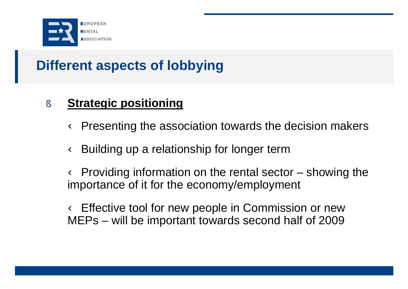

### § **Strategic positioning**

Ü Presenting the association towards the decision makers

Ü Building up a relationship for longer term

Ü Providing information on the rental sector – showing the importance of it for the economy/employment

Ü Effective tool for new people in Commission or new MEPs – will be important towards second half of 2009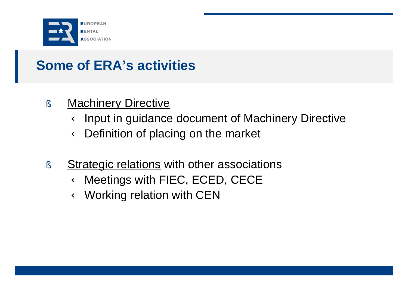

## **Some of ERA's activities**

### § Machinery Directive

Ü Input in guidance document of Machinery Directive Ü Definition of placing on the market

§ Strategic relations with other associations Ü Meetings with FIEC, ECED, CECE Ü Working relation with CEN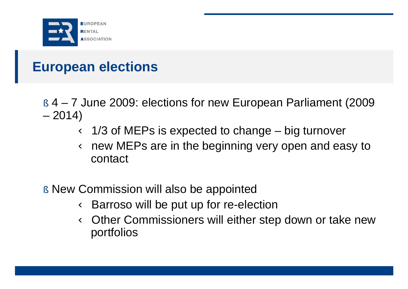

## **European elections**

- § 4 7 June 2009: elections for new European Parliament (2009  $-2014$ 
	- Ü 1/3 of MEPs is expected to change big turnover Ü new MEPs are in the beginning very open and easy to contact
- § New Commission will also be appointed Ü Barroso will be put up for re-election Ü Other Commissioners will either step down or take new portfolios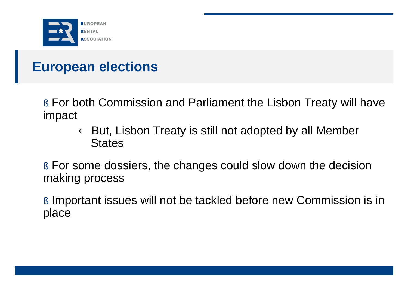

### **European elections**

§ For both Commission and Parliament the Lisbon Treaty will have impact

> Ü But, Lisbon Treaty is still not adopted by all Member **States**

§ For some dossiers, the changes could slow down the decision making process

§ Important issues will not be tackled before new Commission is in place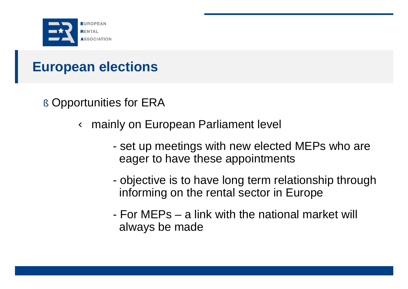

### **European elections**

§ Opportunities for ERA

Ü mainly on European Parliament level

- set up meetings with new elected MEPs who are eager to have these appointments
- objective is to have long term relationship through informing on the rental sector in Europe
- For MEPs a link with the national market will always be made